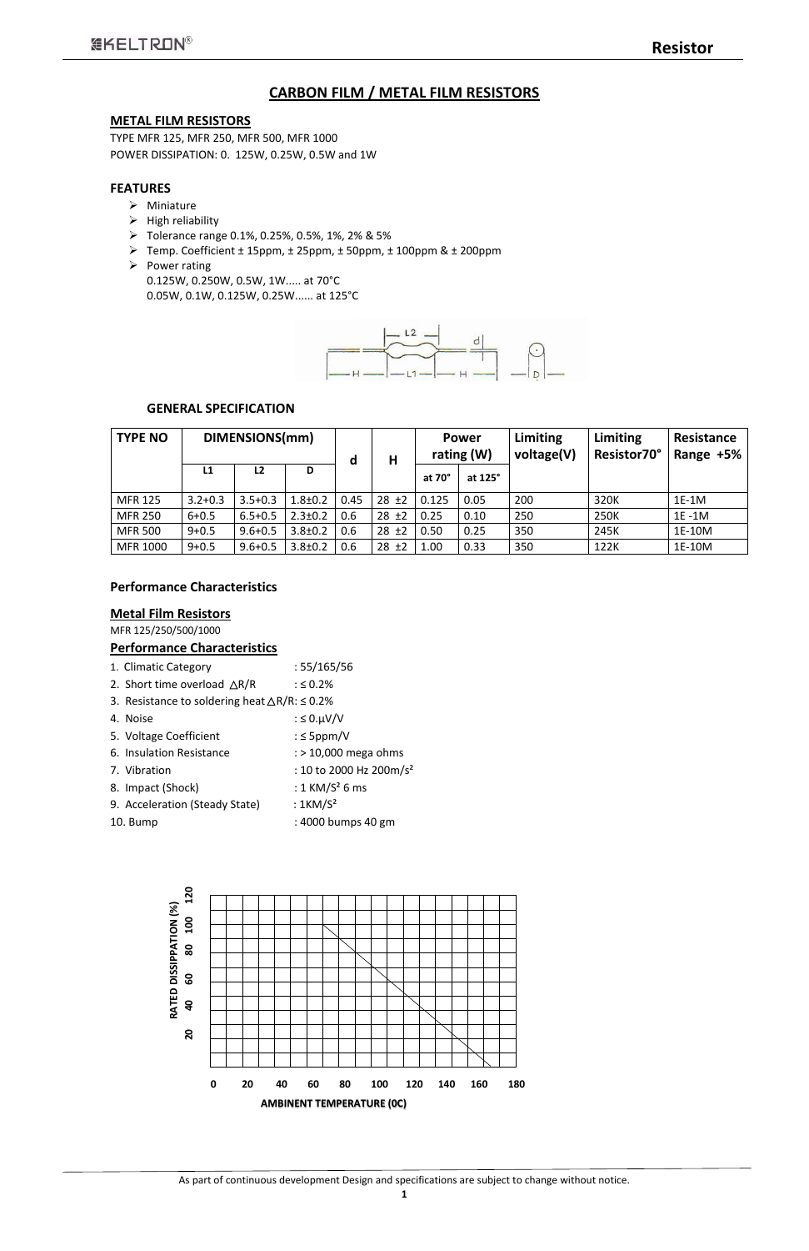## **CARBON FILM / METAL FILM RESISTORS**

#### **METAL FILM RESISTORS**

TYPE MFR 125, MFR 250, MFR 500, MFR 1000 POWER DISSIPATION: 0. 125W, 0.25W, 0.5W and 1W

- $\triangleright$  Miniature
- $\triangleright$  High reliability
- Tolerance range 0.1%, 0.25%, 0.5%, 1%, 2% & 5%
- Temp. Coefficient ± 15ppm, ± 25ppm, ± 50ppm, ± 100ppm & ± 200ppm
- $\triangleright$  Power rating 0.125W, 0.250W, 0.5W, 1W..... at 70°C 0.05W, 0.1W, 0.125W, 0.25W...... at 125°C



### **FEATURES**

#### **GENERAL SPECIFICATION**

## **Performance Characteristics**

#### **Metal Film Resistors**

MFR 125/250/500/1000

#### **Performance Characteristics**

| 1. Climatic Category                                           | :55/165/56                          |
|----------------------------------------------------------------|-------------------------------------|
| 2. Short time overload $\triangle R/R$                         | $: 50.2\%$                          |
| 3. Resistance to soldering heat $\triangle R/R$ : $\leq 0.2\%$ |                                     |
| 4. Noise                                                       | : $\leq$ 0.µV/V                     |
| 5. Voltage Coefficient                                         | : $\leq$ 5ppm/V                     |
| 6. Insulation Resistance                                       | $:$ > 10,000 mega ohms              |
| 7. Vibration                                                   | : 10 to 2000 Hz 200m/s <sup>2</sup> |
| 8. Impact (Shock)                                              | : $1$ KM/S <sup>2</sup> 6 ms        |
| 9. Acceleration (Steady State)                                 | : $1KM/S2$                          |
| 10. Bump                                                       | : 4000 bumps 40 gm                  |



| <b>TYPE NO</b> |             | DIMENSIONS(mm) |               | d    | Η          |               | Limiting<br><b>Power</b><br>rating $(W)$<br>voltage(V) |     | <b>Limiting</b><br>Resistor70° | <b>Resistance</b><br>Range +5% |  |
|----------------|-------------|----------------|---------------|------|------------|---------------|--------------------------------------------------------|-----|--------------------------------|--------------------------------|--|
|                | L1          | L <sub>2</sub> | D             |      |            | at $70^\circ$ | at 125°                                                |     |                                |                                |  |
| <b>MFR 125</b> | $3.2 + 0.3$ | $3.5 + 0.3$    | $1.8 \pm 0.2$ | 0.45 | $28 + 2$   | 0.125         | 0.05                                                   | 200 | 320K                           | $1E-1M$                        |  |
| <b>MFR 250</b> | $6 + 0.5$   | $6.5 + 0.5$    | $2.3 \pm 0.2$ | 0.6  | $28 \pm 2$ | 0.25          | 0.10                                                   | 250 | 250K                           | 1E-1M                          |  |
| <b>MFR 500</b> | $9 + 0.5$   | $9.6 + 0.5$    | $3.8 \pm 0.2$ | 0.6  | $28 \pm 2$ | 0.50          | 0.25                                                   | 350 | 245K                           | 1E-10M                         |  |
| MFR 1000       | $9 + 0.5$   | $9.6 + 0.5$    | $3.8 \pm 0.2$ | 0.6  | $28 \pm 2$ | 1.00          | 0.33                                                   | 350 | 122K                           | 1E-10M                         |  |

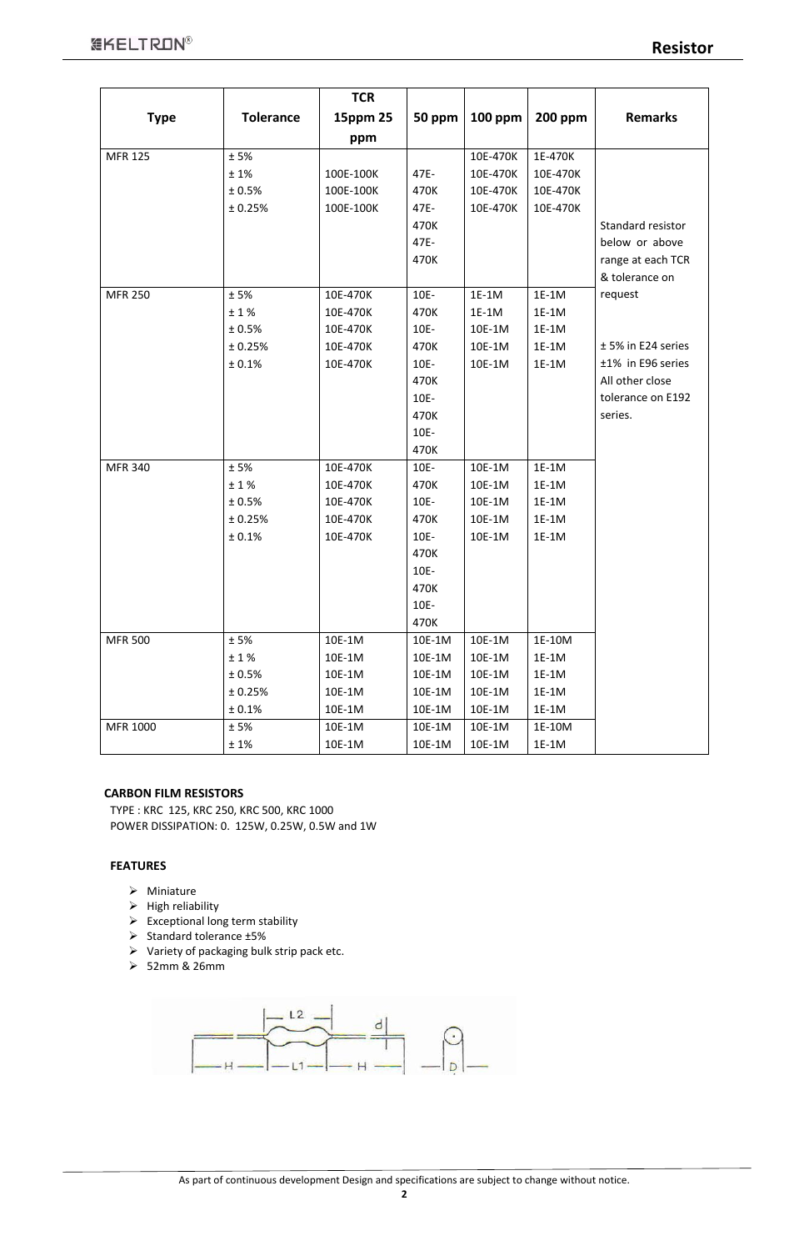#### **CARBON FILM RESISTORS**

TYPE : KRC 125, KRC 250, KRC 500, KRC 1000 POWER DISSIPATION: 0. 125W, 0.25W, 0.5W and 1W

## **FEATURES**

- $\triangleright$  Miniature
- $\triangleright$  High reliability
- $\triangleright$  Exceptional long term stability
- 
- $\triangleright$  Standard tolerance  $\pm 5\%$
- $\triangleright$  Variety of packaging bulk strip pack etc.
- $> 52$ mm & 26mm



|                |                  | <b>TCR</b> |         |                |                |                      |
|----------------|------------------|------------|---------|----------------|----------------|----------------------|
| <b>Type</b>    | <b>Tolerance</b> | 15ppm 25   | 50 ppm  | <b>100 ppm</b> | <b>200 ppm</b> | <b>Remarks</b>       |
|                |                  | ppm        |         |                |                |                      |
| <b>MFR 125</b> | $\pm$ 5%         |            |         | 10E-470K       | 1E-470K        |                      |
|                | ±1%              | 100E-100K  | 47E-    | 10E-470K       | 10E-470K       |                      |
|                | ± 0.5%           | 100E-100K  | 470K    | 10E-470K       | 10E-470K       |                      |
|                | ± 0.25%          | 100E-100K  | 47E-    | 10E-470K       | 10E-470K       |                      |
|                |                  |            | 470K    |                |                | Standard resistor    |
|                |                  |            | 47E-    |                |                | below or above       |
|                |                  |            | 470K    |                |                | range at each TCR    |
|                |                  |            |         |                |                | & tolerance on       |
| <b>MFR 250</b> | ±5%              | 10E-470K   | 10E-    | $1E-1M$        | $1E-1M$        | request              |
|                | ±1%              | 10E-470K   | 470K    | 1E-1M          | 1E-1M          |                      |
|                | ± 0.5%           | 10E-470K   | $10E -$ | 10E-1M         | $1E-1M$        |                      |
|                | ± 0.25%          | 10E-470K   | 470K    | 10E-1M         | 1E-1M          | $±$ 5% in E24 series |
|                | ± 0.1%           | 10E-470K   | $10E -$ | 10E-1M         | 1E-1M          | ±1% in E96 series    |
|                |                  |            | 470K    |                |                | All other close      |
|                |                  |            | $10E -$ |                |                | tolerance on E192    |
|                |                  |            | 470K    |                |                | series.              |
|                |                  |            | 10E-    |                |                |                      |
|                |                  |            | 470K    |                |                |                      |
| <b>MFR 340</b> | ±5%              | 10E-470K   | 10E-    | 10E-1M         | $1E-1M$        |                      |
|                | ±1%              | 10E-470K   | 470K    | 10E-1M         | 1E-1M          |                      |
|                | ± 0.5%           | 10E-470K   | $10E -$ | 10E-1M         | $1E-1M$        |                      |
|                | ± 0.25%          | 10E-470K   | 470K    | 10E-1M         | 1E-1M          |                      |
|                | ± 0.1%           | 10E-470K   | 10E-    | 10E-1M         | 1E-1M          |                      |
|                |                  |            | 470K    |                |                |                      |
|                |                  |            | $10E -$ |                |                |                      |
|                |                  |            | 470K    |                |                |                      |
|                |                  |            | 10E-    |                |                |                      |
|                |                  |            | 470K    |                |                |                      |
| <b>MFR 500</b> | ±5%              | 10E-1M     | 10E-1M  | 10E-1M         | 1E-10M         |                      |
|                | ±1%              | 10E-1M     | 10E-1M  | 10E-1M         | 1E-1M          |                      |
|                | ± 0.5%           | 10E-1M     | 10E-1M  | 10E-1M         | 1E-1M          |                      |
|                | ± 0.25%          | 10E-1M     | 10E-1M  | 10E-1M         | 1E-1M          |                      |
|                | ± 0.1%           | 10E-1M     | 10E-1M  | 10E-1M         | 1E-1M          |                      |
| MFR 1000       | ±5%              | 10E-1M     | 10E-1M  | 10E-1M         | 1E-10M         |                      |
|                | ±1%              | 10E-1M     | 10E-1M  | 10E-1M         | 1E-1M          |                      |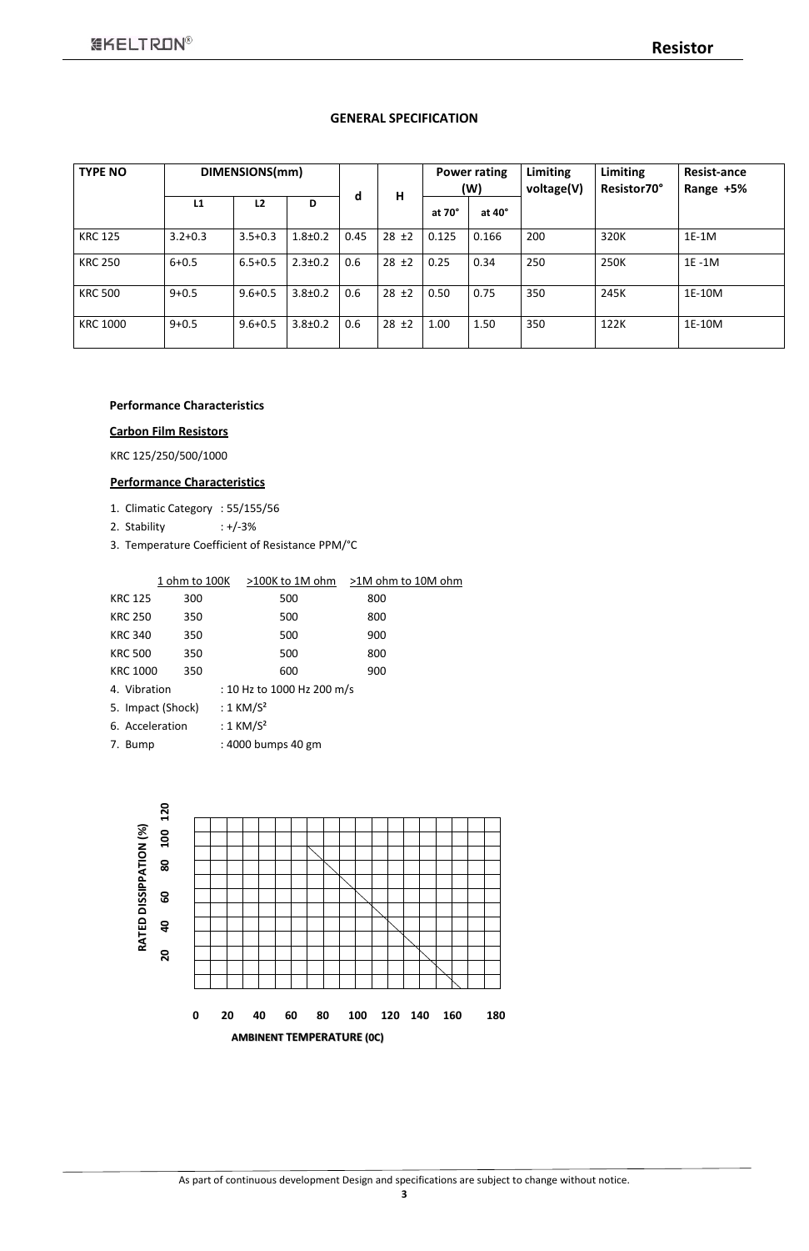### **GENERAL SPECIFICATION**

| <b>TYPE NO</b>  |             | DIMENSIONS(mm) |               |      |            |        | <b>Power rating</b><br>(W) | <b>Limiting</b><br>voltage(V) | Limiting<br>Resistor70° | <b>Resist-ance</b><br>Range +5% |  |  |
|-----------------|-------------|----------------|---------------|------|------------|--------|----------------------------|-------------------------------|-------------------------|---------------------------------|--|--|
|                 | L1          | L <sub>2</sub> | D             | d    | H          | at 70° | at 40°                     |                               |                         |                                 |  |  |
| <b>KRC 125</b>  | $3.2 + 0.3$ | $3.5 + 0.3$    | $1.8 + 0.2$   | 0.45 | $28 \pm 2$ | 0.125  | 0.166                      | 200                           | 320K                    | 1E-1M                           |  |  |
| <b>KRC 250</b>  | $6 + 0.5$   | $6.5 + 0.5$    | $2.3 \pm 0.2$ | 0.6  | $28 \pm 2$ | 0.25   | 0.34                       | 250                           | 250K                    | $1E - 1M$                       |  |  |
| <b>KRC 500</b>  | $9 + 0.5$   | $9.6 + 0.5$    | $3.8 \pm 0.2$ | 0.6  | $28 \pm 2$ | 0.50   | 0.75                       | 350                           | 245K                    | 1E-10M                          |  |  |
| <b>KRC 1000</b> | $9 + 0.5$   | $9.6 + 0.5$    | $3.8 \pm 0.2$ | 0.6  | $28 \pm 2$ | 1.00   | 1.50                       | 350                           | 122K                    | 1E-10M                          |  |  |

### **Performance Characteristics**

#### **Carbon Film Resistors**

KRC 125/250/500/1000

## **Performance Characteristics**

- 1. Climatic Category : 55/155/56
- 2. Stability : +/-3%
- 3. Temperature Coefficient of Resistance PPM/°C

|                 | 1 ohm to 100K     | >100K to 1M ohm            | >1M ohm to 10M ohm |
|-----------------|-------------------|----------------------------|--------------------|
| <b>KRC 125</b>  | 300               | 500                        | 800                |
| <b>KRC 250</b>  | 350               | 500                        | 800                |
| <b>KRC 340</b>  | 350               | 500                        | 900                |
| <b>KRC 500</b>  | 350               | 500                        | 800                |
| <b>KRC 1000</b> | 350               | 600                        | 900                |
| 4. Vibration    |                   | : 10 Hz to 1000 Hz 200 m/s |                    |
|                 | 5. Impact (Shock) | : $1$ KM/S <sup>2</sup>    |                    |
| 6. Acceleration |                   | : $1$ KM/S <sup>2</sup>    |                    |
| 7. Bump         |                   | : 4000 bumps 40 gm         |                    |

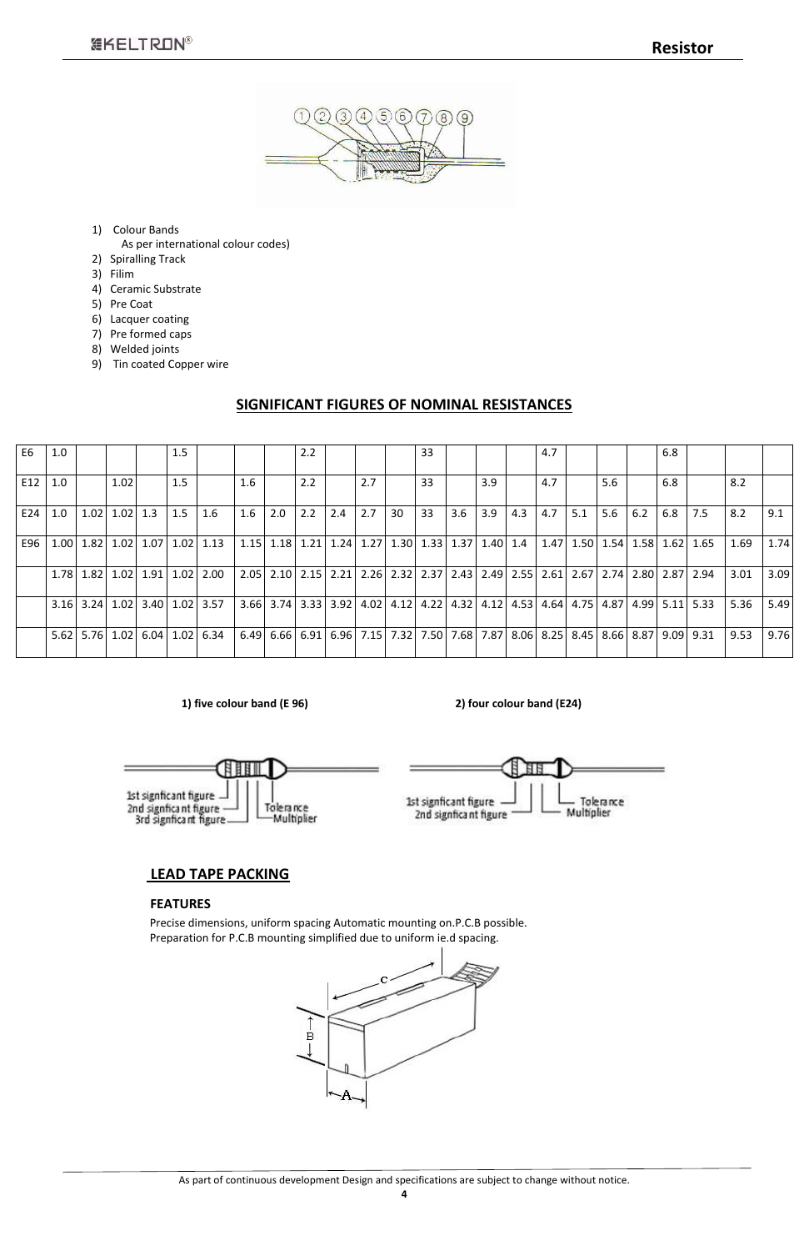

- 1) Colour Bands
- As per international colour codes)
- 2) Spiralling Track
- 3) Filim
- 4) Ceramic Substrate
- 5) Pre Coat
- 6) Lacquer coating
- 7) Pre formed caps
- 8) Welded joints
- 9) Tin coated Copper wire

## **SIGNIFICANT FIGURES OF NOMINAL RESISTANCES**

 **1) five colour band (E 96) 2) four colour band (E24)**

1st signficant figure -

2nd signficant figure

ЕB

Tolerance

Multiplier



## **LEAD TAPE PACKING**

## **FEATURES**

Precise dimensions, uniform spacing Automatic mounting on.P.C.B possible. Preparation for P.C.B mounting simplified due to uniform ie.d spacing.



| E <sub>6</sub> | 1.0  |             |              |             | 1.5 |                                            |      |     | 2.2 |     |                                                                       |    | 33 |     |     |      | 4.7  |      |     |                                         | 6.8 |               |      |      |
|----------------|------|-------------|--------------|-------------|-----|--------------------------------------------|------|-----|-----|-----|-----------------------------------------------------------------------|----|----|-----|-----|------|------|------|-----|-----------------------------------------|-----|---------------|------|------|
| E12            | 1.0  |             | 1.02         |             | 1.5 |                                            | 1.6  |     | 2.2 |     | 2.7                                                                   |    | 33 |     | 3.9 |      | 4.7  |      | 5.6 |                                         | 6.8 |               | 8.2  |      |
| E24            | 1.0  | 1.02        | $1.02$   1.3 |             | 1.5 | $1.6\,$                                    | 1.6  | 2.0 | 2.2 | 2.4 | 2.7                                                                   | 30 | 33 | 3.6 | 3.9 | 4.3  | 4.7  | 5.1  | 5.6 | 6.2                                     | 6.8 | 7.5           | 8.2  | 9.1  |
| E96            | 1.00 |             |              |             |     | $1.82$   $1.02$   $1.07$   $1.02$   $1.13$ | 1.15 |     |     |     | $1.18$   1.21   1.24   1.27   1.30   1.33   1.37   1.40   1.4         |    |    |     |     |      | 1.47 | 1.50 |     | $1.54$   $1.58$                         |     | $1.62$   1.65 | 1.69 | 1.74 |
|                | 1.78 |             |              |             |     | $1.82$   $1.02$   $1.91$   $1.02$   $2.00$ | 2.05 |     |     |     | 2.10 2.15 2.21 2.26 2.32 2.37 2.43 2.49 2.55 2.61 2.67 2.74 2.80      |    |    |     |     |      |      |      |     |                                         |     | 2.87   2.94   | 3.01 | 3.09 |
|                |      | $3.16$ 3.24 |              | $1.02$ 3.40 |     | 1.02 3.57                                  | 3.66 |     |     |     | $3.74$ $3.33$ $3.92$ $4.02$ $4.12$ $4.22$ $4.32$ $4.12$ $4.12$ $4.53$ |    |    |     |     |      | 4.64 | 4.75 |     | 4.87   4.99                             |     | $5.11$ 5.33   | 5.36 | 5.49 |
|                |      |             |              |             |     | 5.62 5.76 1.02 6.04 1.02 6.34              | 6.49 |     |     |     | 6.66 6.91 6.96 7.15 7.32 7.50 7.68 7.87                               |    |    |     |     | 8.06 |      |      |     | 8.25   8.45   8.66   8.87   9.09   9.31 |     |               | 9.53 | 9.76 |